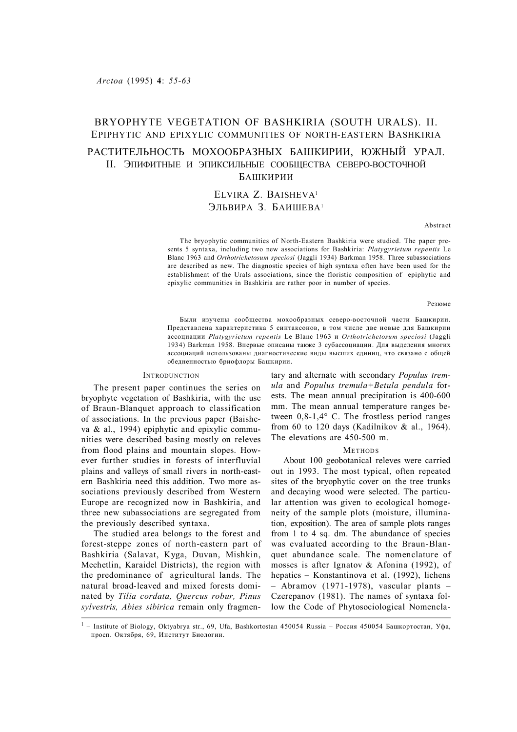# BRYOPHYTE VEGETATION OF BASHKIRIA (SOUTH URALS). II. EPIPHYTIC AND EPIXYLIC COMMUNITIES OF NORTH-EASTERN BASHKIRIA РАСТИТЕЛЬНОСТЬ МОХООБРАЗНЫХ БАШКИРИИ, ЮЖНЫЙ УРАЛ. II. ЭПИФИТНЫЕ И ЭПИКСИЛЬНЫЕ СООБЩЕСТВА СЕВЕРО-ВОСТОЧНОЙ БАШКИРИИ

## ELVIRA Z. BAISHEVA<sup>1</sup> ЭЛЬВИРА З. БАИШЕВА<sup>1</sup>

Abstract

The bryophytic communities of North-Eastern Bashkiria were studied. The paper presents 5 syntaxa, including two new associations for Bashkiria: *Platygyrietum repentis* Le Blanc 1963 and *Orthotrichetosum speciosi* (Jaggli 1934) Barkman 1958. Three subassociations are described as new. The diagnostic species of high syntaxa often have been used for the establishment of the Urals associations, since the floristic composition of epiphytic and epixylic communities in Bashkiria are rather poor in number of species.

Резюме

Были изучены сообщества мохообразных северо-восточной части Башкирии. Представлена характеристика 5 синтаксонов, в том числе две новые для Башкирии ассоциации *Platygyrietum repentis* Le Blanc 1963 и *Orthotrichetosum speciosi* (Jaggli 1934) Barkman 1958. Впервые описаны также 3 субассоциации. Для выделения многих ассоциаций использованы диагностические виды высших единиц, что связано с общей обедненностью бриофлоры Башкирии.

#### **INTRODUNCTION**

The present paper continues the series on bryophyte vegetation of Bashkiria, with the use of Braun-Blanquet approach to classification of associations. In the previous paper (Baisheva & al., 1994) epiphytic and epixylic communities were described basing mostly on releves from flood plains and mountain slopes. However further studies in forests of interfluvial plains and valleys of small rivers in north-eastern Bashkiria need this addition. Two more associations previously described from Western Europe are recognized now in Bashkiria, and three new subassociations are segregated from the previously described syntaxa.

The studied area belongs to the forest and forest-steppe zones of north-eastern part of Bashkiria (Salavat, Kyga, Duvan, Mishkin, Mechetlin, Karaidel Districts), the region with the predominance of agricultural lands. The natural broad-leaved and mixed forests dominated by *Tilia cordata, Quercus robur, Pinus sylvestris, Abies sibirica* remain only fragmentary and alternate with secondary *Populus tremula* and *Populus tremula+Betula pendula* forests. The mean annual precipitation is 400-600 mm. The mean annual temperature ranges between 0,8-1,4° C. The frostless period ranges from 60 to 120 days (Kadilnikov & al., 1964). The elevations are 450-500 m.

#### **METHODS**

About 100 geobotanical releves were carried out in 1993. The most typical, often repeated sites of the bryophytic cover on the tree trunks and decaying wood were selected. The particular attention was given to ecological homogeneity of the sample plots (moisture, illumination, exposition). The area of sample plots ranges from 1 to 4 sq. dm. The abundance of species was evaluated according to the Braun-Blanquet abundance scale. The nomenclature of mosses is after Ignatov & Afonina (1992), of hepatics – Konstantinova et al. (1992), lichens – Abramov (1971-1978), vascular plants – Czerepanov (1981). The names of syntaxa follow the Code of Phytosociological Nomencla-

1 – Institute of Biology, Oktyabrya str., 69, Ufa, Bashkortostan 450054 Russia – Россия 450054 Башкортостан, Уфа, просп. Октября, 69, Институт Биологии.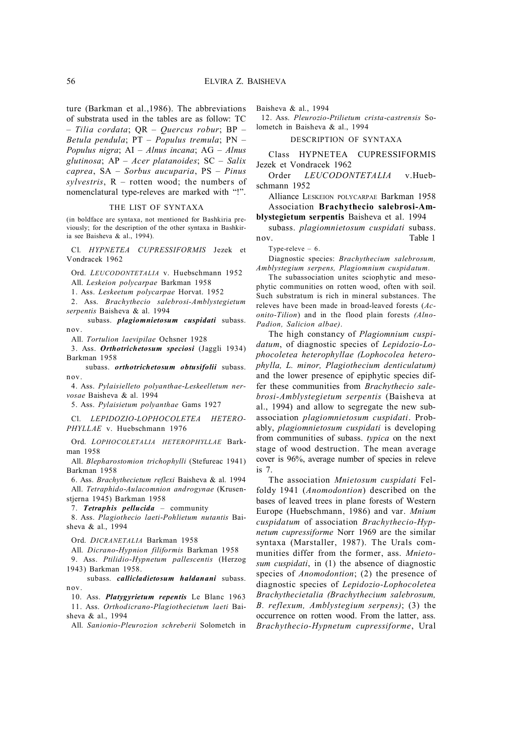ture (Barkman et al.,1986). The abbreviations of substrata used in the tables are as follow: TC – *Tilia cordata*; QR – *Quercus robur*; BP – *Betula pendula*; PT – *Populus tremula*; PN – *Populus nigra*; AI – *Alnus incana*; AG – *Alnus glutinosa*; AP – *Acer platanoides*; SC – *Salix caprea*, SA – *Sorbus aucuparia*, PS – *Pinus sylvestris*, R – rotten wood; the numbers of nomenclatural type-releves are marked with "!".

#### THE LIST OF SYNTAXA

(in boldface are syntaxa, not mentioned for Bashkiria previously; for the description of the other syntaxa in Bashkiria see Baisheva & al., 1994).

Cl. *HYPNETEA CUPRESSIFORMIS* Jezek et Vondracek 1962

Ord. *LEUCODONTETALIA* v. Huebschmann 1952 All. *Leskeion polycarpae* Barkman 1958

1. Ass. *Leskeetum polycarpae* Horvat. 1952

2. Ass. *Brachythecio salebrosi-Amblystegietum serpentis* Baisheva & al. 1994

 subass. *plagiomnietosum cuspidati* subass. nov.

All. *Tortulion laevipilae* Ochsner 1928

3. Ass. *Orthotrichetosum speciosi* (Jaggli 1934) Barkman 1958

 subass. *orthotrichetosum obtusifolii* subass. nov.

4. Ass. *Pylaisielleto polyanthae*-*Leskeelletum nervosae* Baisheva & al. 1994

5. Ass. *Pylaisietum polyanthae* Gams 1927

Cl. *LEPIDOZIO*-*LOPHOCOLETEA HETERO-PHYLLAE* v. Huebschmann 1976

Ord. *LOPHOCOLETALIA HETEROPHYLLAE* Barkman 1958

All. *Blepharostomion trichophylli* (Stefureac 1941) Barkman 1958

6. Ass. *Brachythecietum reflexi* Baisheva & al. 1994 All. *Tetraphido*-*Aulacomnion androgynae* (Krusenstjerna 1945) Barkman 1958

7. *Tetraphis pellucida* – community

8. Ass. *Plagiothecio laeti*-*Pohlietum nutantis* Baisheva & al., 1994

Ord. *DICRANETALIA* Barkman 1958

All. *Dicrano*-*Hypnion filiformis* Barkman 1958 9. Ass. *Ptilidio*-*Hypnetum pallescentis* (Herzog 1943) Barkman 1958.

 subass. *callicladietosum haldanani* subass. nov.

10. Ass. *Platygyrietum repentis* Le Blanc 1963 11. Ass. *Orthodicrano*-*Plagiothecietum laeti* Baisheva  $\&$  al., 1994

All. *Sanionio*-*Pleurozion schreberii* Solometch in

Baisheva & al., 1994

12. Ass. *Pleurozio*-*Ptilietum crista*-*castrensis* Solometch in Baisheva & al., 1994

#### DESCRIPTION OF SYNTAXA

Class HYPNETEA CUPRESSIFORMIS Jezek et Vondracek 1962

Order *LEUCODONTETALIA* v.Huebschmann 1952

Alliance LESKEION POLYCARPAE Barkman 1958 Association **Brachythecio salebrosi-Am-**

**blystegietum serpentis** Baisheva et al. 1994

subass. *plagiomnietosum cuspidati* subass. nov. Table 1

Type-releve  $-6$ .

Diagnostic species: *Brachythecium salebrosum, Amblystegium serpens, Plagiomnium cuspidatum.*

The subassociation unites sciophytic and mesophytic communities on rotten wood, often with soil. Such substratum is rich in mineral substances. The releves have been made in broad-leaved forests (*Aconito-Tilion*) and in the flood plain forests *(Alno-Padion, Salicion albae)*.

The high constancy of *Plagiomnium cuspidatum*, of diagnostic species of *Lepidozio-Lophocoletea heterophyllae (Lophocolea heterophylla, L. minor, Plagiothecium denticulatum)* and the lower presence of epiphytic species differ these communities from *Brachythecio salebrosi-Amblystegietum serpentis* (Baisheva at al., 1994) and allow to segregate the new subassociation *plagiomnietosum cuspidati*. Probably, *plagiomnietosum cuspidati* is developing from communities of subass. *typica* on the next stage of wood destruction. The mean average cover is 96%, average number of species in releve is 7.

The association *Mnietosum cuspidati* Felfoldy 1941 (*Anomodontion*) described on the bases of leaved trees in plane forests of Western Europe (Huebschmann, 1986) and var. *Mnium cuspidatum* of association *Brachythecio-Hypnetum cupressiforme* Norr 1969 are the similar syntaxa (Marstaller, 1987). The Urals communities differ from the former, ass. *Mnietosum cuspidati*, in (1) the absence of diagnostic species of *Anomodontion*; (2) the presence of diagnostic species of *Lepidozio-Lophocoletea Brachythecietalia (Brachythecium salebrosum, B. reflexum, Amblystegium serpens)*; (3) the occurrence on rotten wood. From the latter, ass. *Brachythecio-Hypnetum cupressiforme*, Ural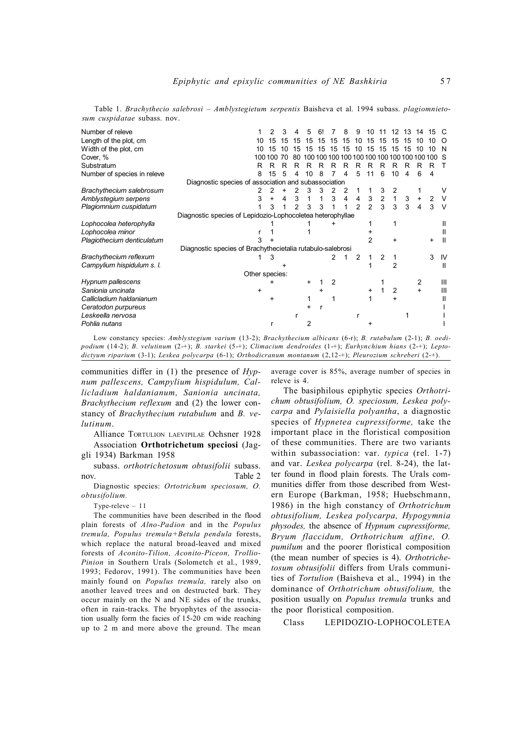| Number of releve            |                                                            |         |    |    | 5  | 61 |    | 8  | 9              | 10            |    | 12 | 13 | 14        | 15 |           |
|-----------------------------|------------------------------------------------------------|---------|----|----|----|----|----|----|----------------|---------------|----|----|----|-----------|----|-----------|
| Length of the plot, cm      | 10                                                         | 15      | 15 | 15 | 15 | 15 | 15 | 15 | 10             | 15            | 15 | 15 | 15 |           |    | O         |
| Width of the plot, cm       | 10                                                         | 15      | 10 | 15 | 15 | 15 | 15 | 15 | 10             | 15            | 15 | 15 | 15 | 10        |    | N         |
| Cover, %                    |                                                            | 100 100 |    | 80 |    |    |    |    |                |               |    |    |    |           |    |           |
| Substratum                  | R                                                          |         |    |    | R  |    |    | R  |                |               |    |    |    |           |    |           |
| Number of species in releve | 8                                                          | 15      | 5  |    | 10 |    |    | 4  | 5              | 11            | հ  | 10 |    | 6         | 4  |           |
|                             | Diagnostic species of association and subassociation       |         |    |    |    |    |    |    |                |               |    |    |    |           |    |           |
| Brachythecium salebrosum    | 2                                                          |         |    |    | 3  |    |    |    |                |               | 3  | 2  |    |           |    |           |
| Amblystegium serpens        | 3                                                          |         | 4  | 3  |    |    | 3  | 4  | 4              | 3             | 2  |    | 3  |           | 2  |           |
| Plagiomnium cuspidatum      |                                                            |         |    |    |    |    |    |    | $\mathfrak{p}$ | $\mathcal{P}$ | 3  | 3  | 3  |           | 3  |           |
|                             | Diagnostic species of Lepidozio-Lophocoletea heterophyllae |         |    |    |    |    |    |    |                |               |    |    |    |           |    |           |
| Lophocolea heterophylla     |                                                            |         |    |    |    |    |    |    |                |               |    |    |    |           |    |           |
| Lophocolea minor            |                                                            |         |    |    |    |    |    |    |                |               |    |    |    |           |    |           |
| Plagiothecium denticulatum  |                                                            |         |    |    |    |    |    |    |                | 2             |    |    |    |           | +  | Ш         |
|                             | Diagnostic species of Brachythecietalia rutabulo-salebrosi |         |    |    |    |    |    |    |                |               |    |    |    |           |    |           |
| Brachythecium reflexum      |                                                            | З       |    |    |    |    | 2  |    | 2              |               | 2  |    |    |           | 3  | <b>IV</b> |
| Campylium hispidulum s. l.  |                                                            |         |    |    |    |    |    |    |                |               |    | 2  |    |           |    | Ш         |
|                             | Other species:                                             |         |    |    |    |    |    |    |                |               |    |    |    |           |    |           |
| Hypnum pallescens           |                                                            |         |    |    | +  |    | 2  |    |                |               |    |    |    | 2         |    | Ш         |
| Sanionia uncinata           |                                                            |         |    |    |    |    |    |    |                | ٠             |    | 2  |    | $\ddot{}$ |    | Ш         |
| Callicladium haldanianum    |                                                            |         |    |    |    |    |    |    |                |               |    | +  |    |           |    | Ш         |
| Ceratodon purpureus         |                                                            |         |    |    | +  |    |    |    |                |               |    |    |    |           |    |           |
| Leskeella nervosa           |                                                            |         |    |    |    |    |    |    |                |               |    |    |    |           |    |           |
| Pohlia nutans               |                                                            |         |    |    |    |    |    |    |                |               |    |    |    |           |    |           |

Table 1. *Brachythecio salebrosi – Amblystegietum serpentis* Baisheva et al. 1994 subass. *plagiomnietosum cuspidatae* subass. nov.

Low constancy species: *Amblystegium varium* (13-2); *Brachythecium albicans* (6-r); *B. rutabulum* (2-1); *B. oedipodium* (14-2); *B. velutinum* (2-+); *B. starkei* (5-+); *Climacium dendroides* (1-+); *Eurhynchium hians* (2-+); *Leptodictyum riparium* (3-1); *Leskea polycarpa* (6-1); *Orthodicranum montanum* (2,12-+); *Pleurozium schreberi* (2-+).

communities differ in (1) the presence of *Hypnum pallescens, Campylium hispidulum, Callicladium haldanianum, Sanionia uncinata, Brachythecium reflexum* and (2) the lower constancy of *Brachythecium rutabulum* and *B. velutinum*.

Alliance TORTULION LAEVIPILAE Ochsner 1928 Association **Orthotrichetum speciosi** (Jaggli 1934) Barkman 1958

subass. *orthotrichetosum obtusifolii* subass. nov. Table 2

Diagnostic species: *Ortotrichum speciosum, O. obtusifolium.*

Type-releve – 11

The communities have been described in the flood plain forests of *Alno-Padion* and in the *Populus tremula, Populus tremula+Betula pendula* forests, which replace the natural broad-leaved and mixed forests of *Aconito-Tilion, Aconito-Piceon, Trollio-Pinion* in Southern Urals (Solometch et al., 1989, 1993; Fedorov, 1991). The communities have been mainly found on *Populus tremula,* rarely also on another leaved trees and on destructed bark. They occur mainly on the N and NE sides of the trunks, often in rain-tracks. The bryophytes of the association usually form the facies of 15-20 cm wide reaching up to 2 m and more above the ground. The mean average cover is 85%, average number of species in releve is 4.

The basiphilous epiphytic species *Orthotrichum obtusifolium, O. speciosum, Leskea polycarpa* and *Pylaisiella polyantha*, a diagnostic species of *Hypnetea cupressiforme,* take the important place in the floristical composition of these communities. There are two variants within subassociation: var. *typica* (rel. 1-7) and var. *Leskea polycarpa* (rel. 8-24), the latter found in flood plain forests. The Urals communities differ from those described from Western Europe (Barkman, 1958; Huebschmann, 1986) in the high constancy of *Orthotrichum obtusifolium, Leskea polycarpa, Hypogymnia physodes,* the absence of *Hypnum cupressiforme, Bryum flaccidum, Orthotrichum affine, O. pumilum* and the poorer floristical composition (the mean number of species is 4). *Orthotrichetosum obtusifolii* differs from Urals communities of *Tortulion* (Baisheva et al., 1994) in the dominance of *Orthotrichum obtusifolium,* the position usually on *Populus tremula* trunks and the poor floristical composition.

Class LEPIDOZIO-LOPHOCOLETEA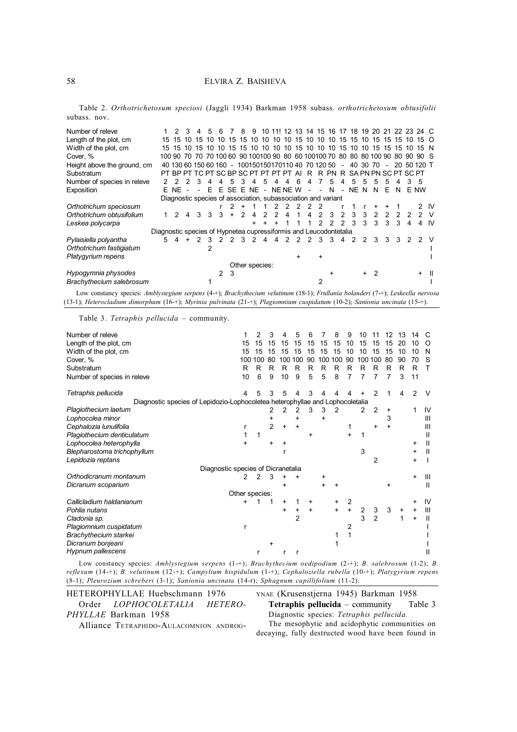Table 2. *Orthotrichetosum speciosi* (Jaggli 1934) Barkman 1958 subass. *orthotrichetosum obtusifolii* subass. nov.

| Number of releve            |                                                                   |            | з             |               | 5 | -6            |     | 8             | 9              |   |                |                                                                      |               |                |        |           |   |           |               |               |    |    |               | 10 11! 12 13 14 15 16 17 18 19 20 21 22 23 24 C                                |     |
|-----------------------------|-------------------------------------------------------------------|------------|---------------|---------------|---|---------------|-----|---------------|----------------|---|----------------|----------------------------------------------------------------------|---------------|----------------|--------|-----------|---|-----------|---------------|---------------|----|----|---------------|--------------------------------------------------------------------------------|-----|
| Length of the plot, cm      | 15                                                                | 15         |               |               |   |               |     |               |                |   |                |                                                                      |               |                |        |           |   |           |               |               |    |    |               | 10 15 10 10 15 15 10 10 10 10 15 10 10 10 15 15 10 15 15 15 10 15 0            |     |
| Width of the plot, cm       | 15                                                                | 15         |               |               |   |               |     |               |                |   |                |                                                                      |               |                |        |           |   |           |               |               |    |    |               | 10 15 10 10 15 15 10 10 10 10 15 10 10 10 15 10 10 15 15 15 10 15 N            |     |
| Cover, %                    |                                                                   |            |               |               |   |               |     |               |                |   |                |                                                                      |               |                |        |           |   |           |               |               |    |    |               | 100 90 70 70 70 100 60 90 100100 90 80 60 100100 70 80 80 80 100 90 80 90 90 S |     |
| Height above the ground, cm |                                                                   |            |               |               |   |               |     |               |                |   |                | 40 130 60 150 60 160 - 100150150170110 40 70 120 50                  |               |                |        |           |   | $-403070$ |               |               |    |    |               | $-2050120$ T                                                                   |     |
| Substratum                  |                                                                   |            |               |               |   |               |     |               |                |   |                | PT BP PT TC PT SC BP SC PT PT PT PT AL R R PN R SA PN PN SC PT SC PT |               |                |        |           |   |           |               |               |    |    |               |                                                                                |     |
| Number of species in releve |                                                                   | 2          | $\mathcal{P}$ |               | 4 | 4             | 5   | $\mathcal{B}$ | $\overline{a}$ | 5 | $\overline{4}$ | 4                                                                    | $\epsilon$    | Δ              |        | 5         | 4 | 5         | 5             | 5             | 5  |    |               | -5                                                                             |     |
| Exposition                  |                                                                   | $E$ NE $-$ |               |               |   |               |     |               |                |   |                | E E SE E NE - NENEW                                                  |               | $\blacksquare$ | $\sim$ | N         |   | - NE N    |               | N             | E. | N. |               | E NW                                                                           |     |
|                             | Diagnostic species of association, subassociation and variant     |            |               |               |   |               |     |               |                |   |                |                                                                      |               |                |        |           |   |           |               |               |    |    |               |                                                                                |     |
| Orthotrichum speciosum      |                                                                   |            |               |               |   |               |     |               |                |   |                | $\mathcal{P}$                                                        | $\mathcal{P}$ | $\mathcal{P}$  | 2      |           |   |           |               | $\pm$         |    |    |               |                                                                                | -IV |
| Orthotrichum obtusifolium   |                                                                   |            |               | 3             | 3 | 3             | ÷   | $\mathcal{P}$ |                | 2 |                |                                                                      |               | 4              | 2      | 3         | 2 | 3         | 3             | 2             |    |    |               |                                                                                | v   |
| Leskea polycarpa            |                                                                   |            |               |               |   |               |     |               |                |   |                |                                                                      |               |                |        |           | 2 | 3         | 3             | 3             | 3  | 3  |               | 4                                                                              | .IV |
|                             | Diagnostic species of Hypnetea cupressiformis and Leucodontetalia |            |               |               |   |               |     |               |                |   |                |                                                                      |               |                |        |           |   |           |               |               |    |    |               |                                                                                |     |
| Pylaisiella polyantha       | 5                                                                 | 4          |               | $\mathcal{P}$ | 3 | $\mathcal{P}$ | 2 3 |               | $\mathcal{P}$  |   | 4              | 2                                                                    | 2             | $\mathcal{P}$  | 3      | 3         | 4 | 2         | $\mathcal{P}$ | $\mathcal{B}$ | 3  | 3  | $\mathcal{P}$ |                                                                                |     |
| Orthotrichum fastigiatum    |                                                                   |            |               |               |   |               |     |               |                |   |                |                                                                      |               |                |        |           |   |           |               |               |    |    |               |                                                                                |     |
| Platygyrium repens          |                                                                   |            |               |               |   |               |     |               |                |   |                |                                                                      |               |                | $\div$ |           |   |           |               |               |    |    |               |                                                                                |     |
|                             |                                                                   |            |               |               |   |               |     |               | Other species: |   |                |                                                                      |               |                |        |           |   |           |               |               |    |    |               |                                                                                |     |
| Hypogymnia physodes         |                                                                   |            |               |               |   | $\mathcal{P}$ | 3   |               |                |   |                |                                                                      |               |                |        | $\ddot{}$ |   |           | $+$           | 2             |    |    |               | $\ddot{}$                                                                      |     |
| Brachythecium salebrosum    |                                                                   |            |               |               |   |               |     |               |                |   |                |                                                                      |               |                | 2      |           |   |           |               |               |    |    |               |                                                                                |     |

Low constancy species: *Amblystegium serpens* (4-+); *Brachythecium velutinum* (18-1); *Frullania bolanderi* (7-+); *Leskeella nervosa* (13-1); *Heterocladium dimorphum* (16-+); *Myrinia pulvinata* (21-+); *Plagiomnium cuspidatum* (10-2); *Sanionia uncinata* (15-+).

Table 3. *Tetraphis pellucida* – community.

| Number of releve                                                              | 1              | 2   | 3  | 4         | 5         | 6         |           | 8         | 9         | 10             | 11             | 12        | 13        | 14        |                |
|-------------------------------------------------------------------------------|----------------|-----|----|-----------|-----------|-----------|-----------|-----------|-----------|----------------|----------------|-----------|-----------|-----------|----------------|
| Length of the plot, cm                                                        | 15             | 15  | 15 | 15        | 15        | 15        | 15        | 15        | 10        | 15             | 15             | 15        | 20        | 10        | O              |
| Width of the plot, cm                                                         | 15             | 15  | 15 | 15        | 15        | 15        | 15        | 15        | 10        | 10             | 15             | 15        | 10        | 10        | N              |
| Cover, %                                                                      | 100            | 100 | 80 | 100       | 100       | 90        | 100 100   |           | 90        | 100 100        |                | 80        | 90        | 70        | S              |
| Substratum                                                                    | R              | R   | R  | R         | R         | R         | R         | R         | R         | R              | R              | R         | R         | R         | т              |
| Number of species in releve                                                   | 10             | 6   | 9  | 10        | 9         | 5         | 5         | 8         | 7         | 7              | 7              | 7         | 3         | 11        |                |
| Tetraphis pellucida                                                           | Δ              | 5   |    | 5         | 4         | 3         |           |           |           |                |                |           | 4         | 2         | v              |
| Diagnostic species of Lepidozio-Lophocoletea heterophyllae and Lophocoletalia |                |     |    |           |           |           |           |           |           |                |                |           |           |           |                |
| Plagiothecium laetum                                                          |                |     | 2  | 2         | 2         | 3         | 3         | 2         |           | 2              | $\overline{2}$ | +         |           | 1         | IV             |
| Lophocolea minor                                                              |                |     |    |           | $\pmb{+}$ |           | +         |           |           |                |                | 3         |           |           | Ш              |
| Cephalozia lunulifolia                                                        | r              |     | 2  | $\ddot{}$ | +         |           |           |           | 1         |                | $\ddot{}$      | $\ddot{}$ |           |           | Ш              |
| Plagiothecium denticulatum                                                    | 1              | 1   |    |           |           | $\ddot{}$ |           |           | $\ddot{}$ | 1              |                |           |           |           | Ш              |
| Lophocolea heterophylla                                                       | +              |     |    |           |           |           |           |           |           |                |                |           |           | +         | Ш              |
| Blepharostoma trichophyllum                                                   |                |     |    | r         |           |           |           |           |           | 3              |                |           |           | +         | Ш              |
| Lepidozia reptans                                                             |                |     |    |           |           |           |           |           |           |                | $\overline{2}$ |           |           | +         |                |
| Diagnostic species of Dicranetalia                                            |                |     |    |           |           |           |           |           |           |                |                |           |           |           |                |
| Orthodicranum montanum                                                        | 2              | 2   | 3  | +         | +         |           | +         |           |           |                |                |           |           | +         | Ш              |
| Dicranum scoparium                                                            |                |     |    | $\ddot{}$ |           |           | $\ddot{}$ | +         |           |                |                | +         |           |           | Ш              |
|                                                                               | Other species: |     |    |           |           |           |           |           |           |                |                |           |           |           |                |
| Callicladium haldanianum                                                      | +              |     |    | +         | 1         | +         |           | $\ddot{}$ | 2         |                |                |           |           | +         | IV             |
| Pohlia nutans                                                                 |                |     |    | +         | $\pmb{+}$ | $\ddot{}$ |           | $\ddot{}$ | $\ddot{}$ | $\overline{2}$ | 3              | 3         | $\ddot{}$ | +         | $\mathbf{III}$ |
| Cladonia sp.                                                                  |                |     |    |           | 2         |           |           |           |           | 3              | $\overline{2}$ |           | 1         | $\ddot{}$ | $\mathbf{I}$   |
| Plagiomnium cuspidatum                                                        | r              |     |    |           |           |           |           |           | 2         |                |                |           |           |           |                |
| Brachythecium starkei                                                         |                |     |    |           |           |           |           | 1         | 1         |                |                |           |           |           |                |
| Dicranum bonjeani                                                             |                |     |    |           |           |           |           | 1         |           |                |                |           |           |           |                |
| Hypnum pallescens                                                             |                | r   |    |           | r         |           |           |           |           |                |                |           |           |           | Ш              |

Low constancy species: *Amblystegium serpens* (1-+); *Brachythecium oedipodium* (2-+); *B. salebrosum* (1-2); *B. reflexum* (14-+); *B. velutinum* (12-+); *Campylium hispidulum* (1-+); *Cephaloziella rubella* (10-+); *Platygyrium repens* (8-1); *Pleurozium schreberi* (3-1); *Sanionia uncinata* (14-r); *Sphagnum capillifolium* (11-2).

HETEROPHYLLAE Huebschmann 1976 Order *LOPHOCOLETALIA HETERO-PHYLLAE* Barkman 1958 Alliance TETRAPHIDO-AULACOMNION ANDROG- YNAE (Krusenstjerna 1945) Barkman 1958 **Tetraphis pellucida** – community Table 3 Diagnostic species: *Tetraphis pellucida.*

The mesophytic and acidophytic communities on decaying, fully destructed wood have been found in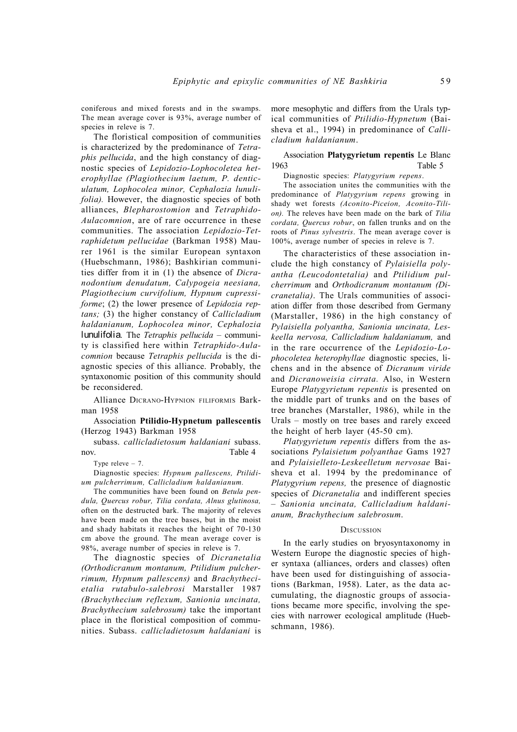coniferous and mixed forests and in the swamps. The mean average cover is 93%, average number of species in releve is 7.

The floristical composition of communities is characterized by the predominance of *Tetraphis pellucida*, and the high constancy of diagnostic species of *Lepidozio-Lophocoletea heterophyllae (Plagiothecium laetum, P. denticulatum, Lophocolea minor, Cephalozia lunulifolia*). However, the diagnostic species of both alliances, *Blepharostomion* and *Tetraphido-Aulacomnion*, are of rare occurrence in these communities. The association *Lepidozio-Tetraphidetum pellucidae* (Barkman 1958) Maurer 1961 is the similar European syntaxon (Huebschmann, 1986); Bashkirian communities differ from it in (1) the absence of *Dicranodontium denudatum, Calypogeia neesiana, Plagiothecium curvifolium, Hypnum cupressiforme*; (2) the lower presence of *Lepidozia reptans;* (3) the higher constancy of *Callicladium haldanianum, Lophocolea minor, Cephalozia* lunulifolia. The *Tetraphis pellucida* – community is classified here within *Tetraphido-Aulacomnion* because *Tetraphis pellucida* is the diagnostic species of this alliance. Probably, the syntaxonomic position of this community should be reconsidered.

Alliance DICRANO-HYPNION FILIFORMIS Barkman 1958

Association **Ptilidio-Hypnetum pallescentis** (Herzog 1943) Barkman 1958

subass. *callicladietosum haldaniani* subass. nov. Table 4

Type releve – 7.

Diagnostic species: *Hypnum pallescens, Ptilidium pulcherrimum, Callicladium haldanianum.*

The communities have been found on *Betula pendula, Quercus robur, Tilia cordata, Alnus glutinosa,* often on the destructed bark. The majority of releves have been made on the tree bases, but in the moist and shady habitats it reaches the height of 70-130 cm above the ground. The mean average cover is 98%, average number of species in releve is 7.

The diagnostic species of *Dicranetalia (Orthodicranum montanum, Ptilidium pulcherrimum, Hypnum pallescens)* and *Brachythecietalia rutabulo-salebrosi* Marstaller 1987 *(Brachythecium reflexum, Sanionia uncinata, Brachythecium salebrosum)* take the important place in the floristical composition of communities. Subass. *callicladietosum haldaniani* is more mesophytic and differs from the Urals typical communities of *Ptilidio-Hypnetum* (Baisheva et al., 1994) in predominance of *Callicladium haldanianum*.

Association **Platygyrietum repentis** Le Blanc 1963 Table 5

Diagnostic species: *Platygyrium repens*. The association unites the communities with the predominance of *Platygyrium repens* growing in shady wet forests *(Aconito-Piceion, Aconito-Tilion).* The releves have been made on the bark of *Tilia cordata, Quercus robur*, on fallen trunks and on the roots of *Pinus sylvestris*. The mean average cover is 100%, average number of species in releve is 7.

The characteristics of these association include the high constancy of *Pylaisiella polyantha (Leucodontetalia)* and *Ptilidium pulcherrimum* and *Orthodicranum montanum (Dicranetalia)*. The Urals communities of association differ from those described from Germany (Marstaller, 1986) in the high constancy of *Pylaisiella polyantha, Sanionia uncinata, Leskeella nervosa, Callicladium haldanianum,* and in the rare occurrence of the *Lepidozio-Lophocoletea heterophyllae* diagnostic species, lichens and in the absence of *Dicranum viride* and *Dicranoweisia cirrata.* Also, in Western Europe *Platygyrietum repentis* is presented on the middle part of trunks and on the bases of tree branches (Marstaller, 1986), while in the Urals – mostly on tree bases and rarely exceed the height of herb layer (45-50 cm).

*Platygyrietum repentis* differs from the associations *Pylaisietum polyanthae* Gams 1927 and *Pylaisielleto-Leskeelletum nervosae* Baisheva et al. 1994 by the predominance of *Platygyrium repens,* the presence of diagnostic species of *Dicranetalia* and indifferent species *– Sanionia uncinata, Callicladium haldanianum, Brachythecium salebrosum*.

#### **DISCUSSION**

In the early studies on bryosyntaxonomy in Western Europe the diagnostic species of higher syntaxa (alliances, orders and classes) often have been used for distinguishing of associations (Barkman, 1958). Later, as the data accumulating, the diagnostic groups of associations became more specific, involving the species with narrower ecological amplitude (Huebschmann, 1986).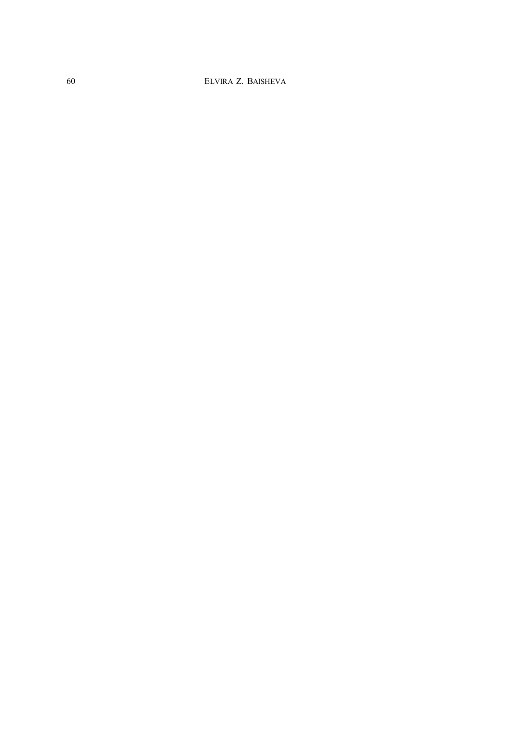60 ELVIRA Z. BAISHEVA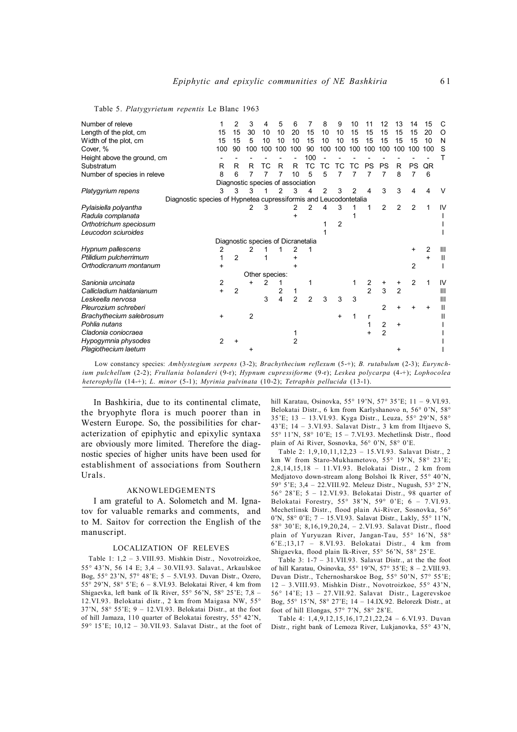| Number of releve                                                  |           | 2  | 3                                  | 4   | 5   | 6   |     | 8   | 9   | 10  | 11             | 12             | 13             | 14             | 15  | С  |
|-------------------------------------------------------------------|-----------|----|------------------------------------|-----|-----|-----|-----|-----|-----|-----|----------------|----------------|----------------|----------------|-----|----|
| Length of the plot, cm                                            | 15        | 15 | 30                                 | 10  | 10  | 20  | 15  | 10  | 10  | 15  | 15             | 15             | 15             | 15             | 20  | O  |
| Width of the plot, cm                                             | 15        | 15 | 5                                  | 10  | 10  | 10  | 15  | 10  | 10  | 15  | 15             | 15             | 15             | 15             | 10  | N  |
| Cover, %                                                          | 100       | 90 | 100                                | 100 | 100 | 100 | 90  | 100 | 100 | 100 | 100            | 100            | 100            | 100            | 100 | S  |
| Height above the ground, cm                                       |           |    |                                    |     |     |     | 100 |     |     |     |                |                |                |                |     | т  |
| Substratum                                                        | R         | R  | R                                  | TC. | R   | R   | ТC  | ТC  | TC. | TC. | PS             | PS             | R              | PS             | QR  |    |
| Number of species in releve                                       | 8         | 6  |                                    |     | 7   | 10  | 5   | 5   |     |     |                |                | 8              |                | 6   |    |
|                                                                   |           |    | Diagnostic species of association  |     |     |     |     |     |     |     |                |                |                |                |     |    |
| Platygyrium repens                                                | з         | 3  |                                    |     |     |     | Δ   | 2   |     |     |                |                |                |                |     |    |
| Diagnostic species of Hypnetea cupressiformis and Leucodontetalia |           |    |                                    |     |     |     |     |     |     |     |                |                |                |                |     |    |
| Pylaisiella polyantha                                             |           |    |                                    | 3   |     |     |     | Δ   | 3   |     |                | 2              | 2              | $\mathfrak{p}$ |     | IV |
| Radula complanata                                                 |           |    |                                    |     |     |     |     |     |     |     |                |                |                |                |     |    |
| Orthotrichum speciosum                                            |           |    |                                    |     |     |     |     |     | 2   |     |                |                |                |                |     |    |
| Leucodon sciuroides                                               |           |    |                                    |     |     |     |     |     |     |     |                |                |                |                |     |    |
|                                                                   |           |    | Diagnostic species of Dicranetalia |     |     |     |     |     |     |     |                |                |                |                |     |    |
| Hypnum pallescens                                                 | 2         |    |                                    |     |     |     |     |     |     |     |                |                |                |                | 2   | Ш  |
| Ptilidium pulcherrimum                                            |           | 2  |                                    |     |     |     |     |     |     |     |                |                |                |                | +   | Ш  |
| Orthodicranum montanum                                            |           |    |                                    |     |     |     |     |     |     |     |                |                |                | 2              |     |    |
|                                                                   |           |    | Other species:                     |     |     |     |     |     |     |     |                |                |                |                |     |    |
| Sanionia uncinata                                                 | 2         |    |                                    |     |     |     |     |     |     |     | 2              |                |                | 2              |     | IV |
| Callicladium haldanianum                                          | $\ddot{}$ | 2  |                                    |     | 2   | 1   |     |     |     |     | $\mathfrak{p}$ | 3              | $\overline{2}$ |                |     | Ш  |
| Leskeella nervosa                                                 |           |    |                                    | 3   | 4   | 2   |     | 3   | 3   | 3   |                |                |                |                |     | Ш  |
| Pleurozium schreberi                                              |           |    |                                    |     |     |     |     |     |     |     |                | 2              |                |                |     | Ш  |
| Brachythecium salebrosum                                          | +         |    | 2                                  |     |     |     |     |     |     |     |                |                |                |                |     | Ш  |
| Pohlia nutans                                                     |           |    |                                    |     |     |     |     |     |     |     |                | 2              |                |                |     |    |
| Cladonia coniocraea                                               |           |    |                                    |     |     |     |     |     |     |     |                | $\overline{2}$ |                |                |     |    |
| Hypogymnia physodes                                               | 2         |    |                                    |     |     | 2   |     |     |     |     |                |                |                |                |     |    |
| Plagiothecium laetum                                              |           |    |                                    |     |     |     |     |     |     |     |                |                |                |                |     |    |

Table 5. *Platygyrietum repentis* Le Blanc 1963

Low constancy species: *Amblystegium serpens* (3-2); *Brachythecium reflexum* (5-+); *B. rutabulum* (2-3); *Eurynchium pulchellum* (2-2); *Frullania bolanderi* (9-r); *Hypnum cupressiforme* (9-r); *Leskea polycarpa* (4-+); *Lophocolea heterophylla* (14-+); *L. minor* (5-1); *Myrinia pulvinata* (10-2); *Tetraphis pellucida* (13-1).

In Bashkiria, due to its continental climate, the bryophyte flora is much poorer than in Western Europe. So, the possibilities for characterization of epiphytic and epixylic syntaxa are obviously more limited. Therefore the diagnostic species of higher units have been used for establishment of associations from Southern Urals.

#### AKNOWLEDGEMENTS

I am grateful to A. Solometch and M. Ignatov for valuable remarks and comments, and to M. Saitov for correction the English of the manuscript.

#### LOCALIZATION OF RELEVES

Table 1: 1,2 – 3.VIII.93. Mishkin Distr., Novotroizkoe, 55° 43'N, 56 14 E; 3,4 – 30.VII.93. Salavat., Arkaulskoe Bog, 55° 23'N, 57° 48'E; 5 – 5.VI.93. Duvan Distr., Ozero, 55° 29'N, 58° 5'E; 6 – 8.VI.93. Belokatai River, 4 km from Shigaevka, left bank of Ik River, 55° 56'N, 58° 25'E; 7,8 – 12.VI.93. Belokatai distr., 2 km from Maigasa NW, 55° 37'N, 58° 55'E; 9 – 12.VI.93. Belokatai Distr., at the foot of hill Jamaza, 110 quarter of Belokatai forestry, 55° 42'N, 59° 15'E; 10,12 – 30.VII.93. Salavat Distr., at the foot of hill Karatau, Osinovka, 55° 19'N, 57° 35'E; 11 – 9.VI.93. Belokatai Distr., 6 km from Karlyshanovo n, 56° 0'N, 58° 35'E; 13 – 13.VI.93. Kyga Distr., Leuza, 55° 29'N, 58° 43'E; 14 – 3.VI.93. Salavat Distr., 3 km from Iltjaevo S, 55° 11'N, 58° 10'E; 15 – 7.VI.93. Mechetlinsk Distr., flood plain of Ai River, Sosnovka, 56° 0'N, 58° 0'E.

Table 2: 1,9,10,11,12,23 – 15.VI.93. Salavat Distr., 2 km W from Staro-Mukhametovo, 55° 19'N, 58° 23'E; 2,8,14,15,18 – 11.VI.93. Belokatai Distr., 2 km from Medjatovo down-stream along Bolshoi Ik River, 55° 40'N, 59° 5'E; 3,4 – 22.VIII.92. Meleuz Distr., Nugush, 53° 2'N, 56° 28'E; 5 – 12.VI.93. Belokatai Distr., 98 quarter of Belokatai Forestry, 55° 38'N, 59° 0'E; 6 – 7.VI.93. Mechetlinsk Distr., flood plain Ai-River, Sosnovka, 56° 0'N, 58° 0'E; 7 – 15.VI.93. Salavat Distr., Lakly, 55° 11'N, 58° 30'E; 8,16,19,20,24, – 2.VI.93. Salavat Distr., flood plain of Yuryuzan River, Jangan-Tau, 55° 16'N, 58° 6'E.;13,17 – 8.VI.93. Belokatai Distr., 4 km from Shigaevka, flood plain Ik-River, 55° 56'N, 58° 25'E.

Table 3: 1-7 – 31.VII.93. Salavat Distr., at the the foot of hill Karatau, Osinovka, 55° 19'N, 57° 35'E; 8 – 2.VIII.93. Duvan Distr., Tchernosharskoe Bog, 55° 50'N, 57° 55'E; 12 – 3.VIII.93. Mishkin Distr., Novotroizkoe, 55° 43'N, 56° 14'E; 13 – 27.VII.92. Salavat Distr., Lagerevskoe Bog, 55° 15'N, 58° 27'E; 14 – 14.IX.92. Belorezk Distr., at foot of hill Elongas, 57° 7'N, 58° 28'E.

Table 4: 1,4,9,12,15,16,17,21,22,24 – 6.VI.93. Duvan Distr., right bank of Lemoza River, Lukjanovka, 55° 43'N,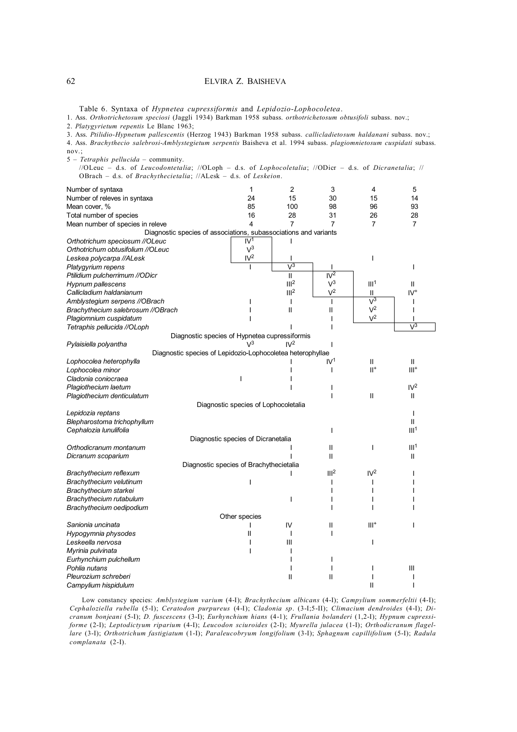### 62 ELVIRA Z. BAISHEVA

Table 6. Syntaxa of *Hypnetea cupressiformis* and *Lepidozio-Lophocoletea*.

1. Ass. *Orthotrichetosum speciosi* (Jaggli 1934) Barkman 1958 subass. *orthotrichetosum obtusifoli* subass. nov.;

2. *Platygyrietum repentis* Le Blanc 1963;

3. Ass. *Ptilidio-Hypnetum pallescentis* (Herzog 1943) Barkman 1958 subass. *callicladietosum haldanani* subass. nov.; 4. Ass. *Brachythecio salebrosi*-*Amblystegietum serpentis* Baisheva et al. 1994 subass. *plagiomnietosum cuspidati* subass. nov.; 5 – *Tetraphis pellucida* – community.

//OLeuc – d.s. of *Leucodontetalia*; //OLoph – d.s. of *Lophocoletalia*; //ODicr – d.s. of *Dicranetalia*; // OBrach – d.s. of *Brachythecietalia*; //ALesk – d.s. of *Leskeion*.

| Number of syntaxa                                                | 1                                       | 2                | 3                | 4                | 5                |
|------------------------------------------------------------------|-----------------------------------------|------------------|------------------|------------------|------------------|
| Number of releves in syntaxa                                     | 24                                      | 15               | 30               | 15               | 14               |
| Mean cover, %                                                    | 85                                      | 100              | 98               | 96               | 93               |
| Total number of species                                          | 16                                      | 28               | 31               | 26               | 28               |
| Mean number of species in releve                                 | 4                                       | $\overline{7}$   | $\overline{7}$   | 7                | 7                |
| Diagnostic species of associations, subassociations and variants |                                         |                  |                  |                  |                  |
| Orthotrichum speciosum //OLeuc                                   | IV <sup>1</sup>                         | ı                |                  |                  |                  |
| Orthotrichum obtusifolium //OLeuc                                | $V^3$                                   |                  |                  |                  |                  |
| Leskea polycarpa //ALesk                                         | IV <sup>2</sup>                         | ı                |                  | ı                |                  |
| Platygyrium repens                                               |                                         | $\sqrt{3}$       |                  |                  | T                |
| Ptilidium pulcherrimum //ODicr                                   |                                         | $\mathbf{H}$     | $\overline{V^2}$ |                  |                  |
| Hypnum pallescens                                                |                                         | III <sup>2</sup> | $\mathsf{V}^3$   | III <sup>1</sup> | $\mathbf{H}$     |
| Callicladium haldanianum                                         |                                         | III <sup>2</sup> | $V^2$            | Ш                | $IV+$            |
| Amblystegium serpens //OBrach                                    |                                         | I                | $\overline{1}$   | $V^3$            |                  |
| Brachythecium salebrosum //OBrach                                |                                         | $\mathbf{I}$     | Ш                | $\mathsf{V}^2$   | ı                |
| Plagiomnium cuspidatum                                           |                                         |                  |                  | $V^2$            |                  |
| Tetraphis pellucida //OLoph                                      |                                         |                  |                  |                  | $V^3$            |
| Diagnostic species of Hypnetea cupressiformis                    |                                         |                  |                  |                  |                  |
| Pylaisiella polyantha                                            | ۱/3                                     | $IV^2$           |                  |                  |                  |
| Diagnostic species of Lepidozio-Lophocoletea heterophyllae       |                                         |                  |                  |                  |                  |
| Lophocolea heterophylla                                          |                                         |                  | IV <sup>1</sup>  | Ш                | $\mathbf{H}$     |
| Lophocolea minor                                                 |                                         |                  | ı                | $II^+$           | $III+$           |
| Cladonia coniocraea                                              | $\mathbf{I}$                            |                  |                  |                  |                  |
| Plagiothecium laetum                                             |                                         |                  | ı                |                  | IV <sup>2</sup>  |
| Plagiothecium denticulatum                                       |                                         |                  |                  | Ш                | $\mathbf{H}$     |
|                                                                  |                                         |                  |                  |                  |                  |
|                                                                  | Diagnostic species of Lophocoletalia    |                  |                  |                  |                  |
| Lepidozia reptans                                                |                                         |                  |                  |                  | $\mathbf{I}$     |
| Blepharostoma trichophyllum                                      |                                         |                  |                  |                  | Ш                |
| Cephalozia lunulifolia                                           |                                         |                  | I                |                  | III <sup>1</sup> |
|                                                                  | Diagnostic species of Dicranetalia      |                  |                  |                  |                  |
| Orthodicranum montanum                                           |                                         |                  | $\mathbf{I}$     | L                | III <sup>1</sup> |
| Dicranum scoparium                                               |                                         |                  | $\mathbf{I}$     |                  | Ш                |
|                                                                  | Diagnostic species of Brachythecietalia |                  |                  |                  |                  |
| Brachythecium reflexum                                           |                                         |                  | III <sup>2</sup> | IV <sup>2</sup>  |                  |
| Brachythecium velutinum                                          | I                                       |                  | ı                |                  |                  |
| Brachythecium starkei                                            |                                         |                  |                  |                  |                  |
| Brachythecium rutabulum                                          |                                         | ı                |                  |                  |                  |
| Brachythecium oedipodium                                         |                                         |                  |                  |                  |                  |
|                                                                  | Other species                           |                  |                  |                  |                  |
| Sanionia uncinata                                                |                                         | IV               | $\mathbf{I}$     | $III+$           | ı                |
| Hypogymnia physodes                                              | Ш                                       | I                | ı                |                  |                  |
| Leskeella nervosa                                                |                                         | Ш                |                  | L                |                  |
| Myrinia pulvinata                                                |                                         |                  |                  |                  |                  |
| Eurhynchium pulchellum                                           |                                         |                  |                  |                  |                  |
| Pohlia nutans                                                    |                                         |                  |                  | I                | Ш                |
| Pleurozium schreberi                                             |                                         | $\mathbf{I}$     | $\mathbf{I}$     |                  | I                |
| Campylium hispidulum                                             |                                         |                  |                  | Ш                | T                |

Low constancy species: *Amblystegium varium* (4-I); *Brachythecium albicans* (4-I); *Campylium sommerfeltii* (4-I); *Cephaloziella rubella* (5-I); *Ceratodon purpureus* (4-I); *Cladonia sp*. (3-I;5-II); *Climacium dendroides* (4-I); *Dicranum bonjeani* (5-I); *D. fuscescens* (3-I); *Eurhynchium hians* (4-1); *Frullania bolanderi* (1,2-I); *Hypnum cupressiforme* (2-I); *Leptodictyum riparium* (4-I); *Leucodon sciuroides* (2-I); *Myurella julacea* (1-I); *Orthodicranum flagellare* (3-I); *Orthotrichum fastigiatum* (1-I); *Paraleucobryum longifolium* (3-I); *Sphagnum capillifolium* (5-I); *Radula complanata* (2-I).